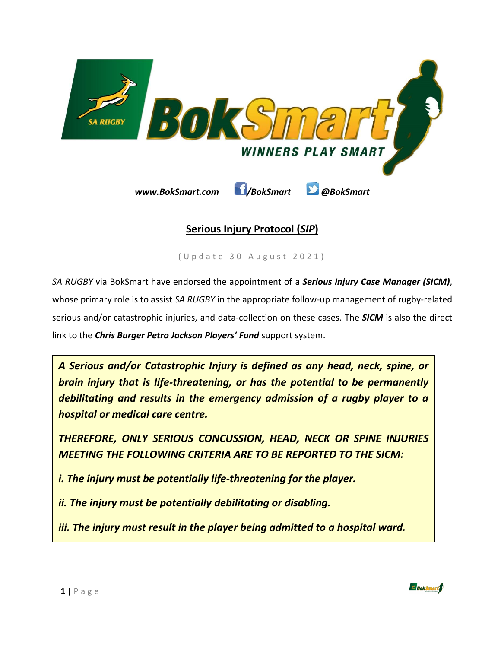

# **Serious Injury Protocol (***SIP***)**

( U p d a t e 30 A u g u s t 2 0 2 1 )

*SA RUGBY* via BokSmart have endorsed the appointment of a *Serious Injury Case Manager (SICM)*, whose primary role is to assist *SA RUGBY* in the appropriate follow-up management of rugby-related serious and/or catastrophic injuries, and data-collection on these cases. The *SICM* is also the direct link to the *Chris Burger Petro Jackson Players' Fund* support system.

*A Serious and/or Catastrophic Injury is defined as any head, neck, spine, or brain injury that is life-threatening, or has the potential to be permanently debilitating and results in the emergency admission of a rugby player to a hospital or medical care centre.*

*THEREFORE, ONLY SERIOUS CONCUSSION, HEAD, NECK OR SPINE INJURIES MEETING THE FOLLOWING CRITERIA ARE TO BE REPORTED TO THE SICM:*

*i. The injury must be potentially life-threatening for the player.*

*ii. The injury must be potentially debilitating or disabling.*

*iii. The injury must result in the player being admitted to a hospital ward.*

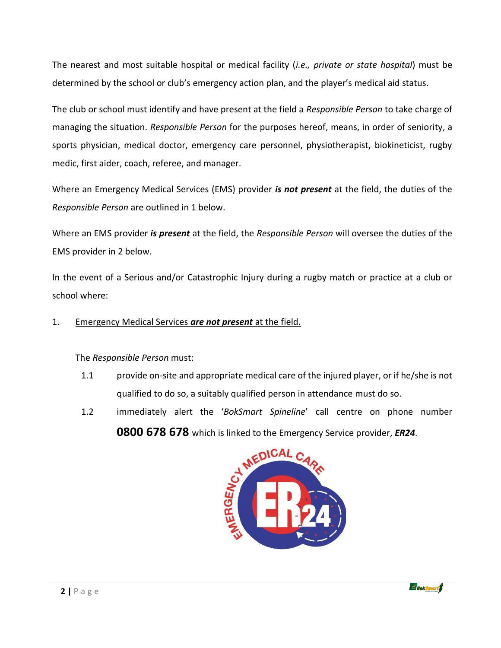The nearest and most suitable hospital or medical facility (*i.e., private or state hospital*) must be determined by the school or club's emergency action plan, and the player's medical aid status.

The club or school must identify and have present at the field a *Responsible Person* to take charge of managing the situation. *Responsible Person* for the purposes hereof, means, in order of seniority, a sports physician, medical doctor, emergency care personnel, physiotherapist, biokineticist, rugby medic, first aider, coach, referee, and manager.

Where an Emergency Medical Services (EMS) provider *is not present* at the field, the duties of the *Responsible Person* are outlined in 1 below.

Where an EMS provider *is present* at the field, the *Responsible Person* will oversee the duties of the EMS provider in 2 below.

In the event of a Serious and/or Catastrophic Injury during a rugby match or practice at a club or school where:

#### 1. Emergency Medical Services *are not present* at the field.

The *Responsible Person* must:

- 1.1 provide on-site and appropriate medical care of the injured player, or if he/she is not qualified to do so, a suitably qualified person in attendance must do so.
- 1.2 immediately alert the '*BokSmart Spineline*' call centre on phone number **0800 678 678** which is linked to the Emergency Service provider, *ER24*.



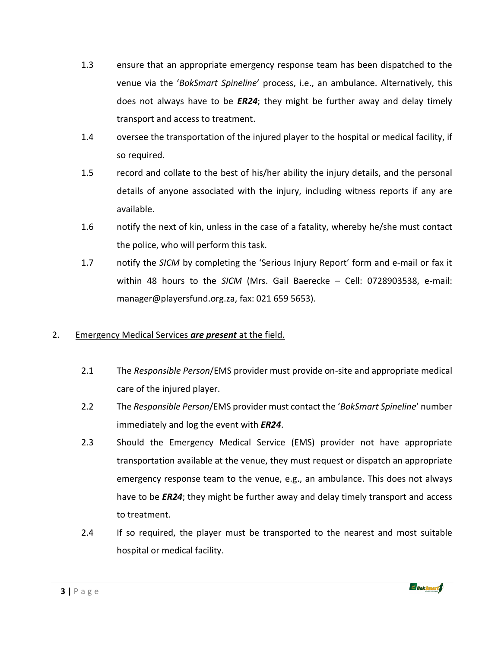- 1.3 ensure that an appropriate emergency response team has been dispatched to the venue via the '*BokSmart Spineline*' process, i.e., an ambulance. Alternatively, this does not always have to be *ER24*; they might be further away and delay timely transport and access to treatment.
- 1.4 oversee the transportation of the injured player to the hospital or medical facility, if so required.
- 1.5 record and collate to the best of his/her ability the injury details, and the personal details of anyone associated with the injury, including witness reports if any are available.
- 1.6 notify the next of kin, unless in the case of a fatality, whereby he/she must contact the police, who will perform this task.
- 1.7 notify the *SICM* by completing the 'Serious Injury Report' form and e-mail or fax it within 48 hours to the *SICM* (Mrs. Gail Baerecke – Cell: 0728903538, e-mail: [manager@playersfund.org.za,](mailto:manager@playersfund.org.za) fax: 021 659 5653).

### 2. Emergency Medical Services *are present* at the field.

- 2.1 The *Responsible Person*/EMS provider must provide on-site and appropriate medical care of the injured player.
- 2.2 The *Responsible Person*/EMS provider must contact the '*BokSmart Spineline*' number immediately and log the event with *ER24*.
- 2.3 Should the Emergency Medical Service (EMS) provider not have appropriate transportation available at the venue, they must request or dispatch an appropriate emergency response team to the venue, e.g., an ambulance. This does not always have to be *ER24*; they might be further away and delay timely transport and access to treatment.
- 2.4 If so required, the player must be transported to the nearest and most suitable hospital or medical facility.

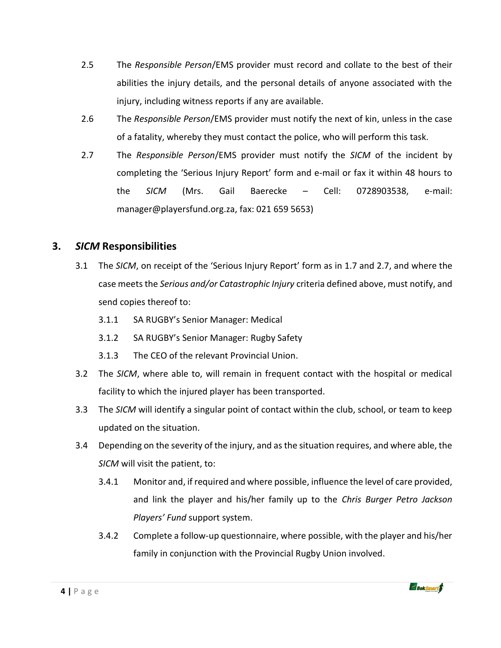- 2.5 The *Responsible Person*/EMS provider must record and collate to the best of their abilities the injury details, and the personal details of anyone associated with the injury, including witness reports if any are available.
- 2.6 The *Responsible Person*/EMS provider must notify the next of kin, unless in the case of a fatality, whereby they must contact the police, who will perform this task.
- 2.7 The *Responsible Person*/EMS provider must notify the *SICM* of the incident by completing the 'Serious Injury Report' form and e-mail or fax it within 48 hours to the *SICM* (Mrs. Gail Baerecke – Cell: 0728903538, e-mail: [manager@playersfund.org.za,](mailto:manager@playersfund.org.za) fax: 021 659 5653)

# **3.** *SICM* **Responsibilities**

- 3.1 The *SICM*, on receipt of the 'Serious Injury Report' form as in 1.7 and 2.7, and where the case meets the *Serious and/or Catastrophic Injury* criteria defined above, must notify, and send copies thereof to:
	- 3.1.1 SA RUGBY's Senior Manager: Medical
	- 3.1.2 SA RUGBY's Senior Manager: Rugby Safety
	- 3.1.3 The CEO of the relevant Provincial Union.
- 3.2 The *SICM*, where able to, will remain in frequent contact with the hospital or medical facility to which the injured player has been transported.
- 3.3 The *SICM* will identify a singular point of contact within the club, school, or team to keep updated on the situation.
- 3.4 Depending on the severity of the injury, and as the situation requires, and where able, the *SICM* will visit the patient, to:
	- 3.4.1 Monitor and, if required and where possible, influence the level of care provided, and link the player and his/her family up to the *Chris Burger Petro Jackson Players' Fund* support system.
	- 3.4.2 Complete a follow-up questionnaire, where possible, with the player and his/her family in conjunction with the Provincial Rugby Union involved.

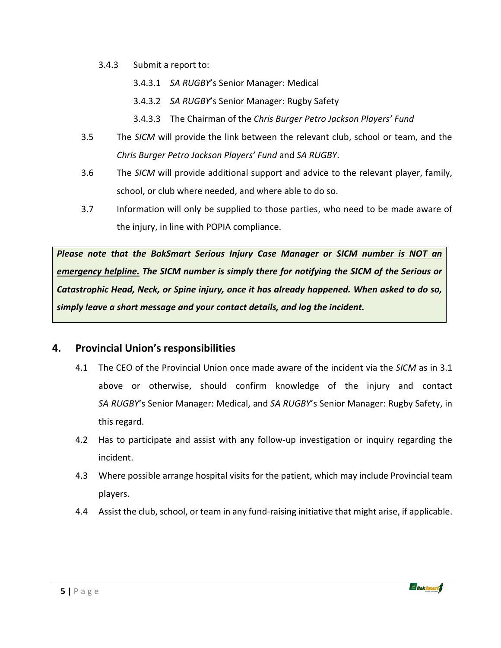- 3.4.3 Submit a report to:
	- 3.4.3.1 *SA RUGBY*'s Senior Manager: Medical
	- 3.4.3.2 *SA RUGBY*'s Senior Manager: Rugby Safety
	- 3.4.3.3 The Chairman of the *Chris Burger Petro Jackson Players' Fund*
- 3.5 The *SICM* will provide the link between the relevant club, school or team, and the *Chris Burger Petro Jackson Players' Fund* and *SA RUGBY*.
- 3.6 The *SICM* will provide additional support and advice to the relevant player, family, school, or club where needed, and where able to do so.
- 3.7 Information will only be supplied to those parties, who need to be made aware of the injury, in line with POPIA compliance.

*Please note that the BokSmart Serious Injury Case Manager or SICM number is NOT an emergency helpline. The SICM number is simply there for notifying the SICM of the Serious or Catastrophic Head, Neck, or Spine injury, once it has already happened. When asked to do so, simply leave a short message and your contact details, and log the incident.* 

### **4. Provincial Union's responsibilities**

- 4.1 The CEO of the Provincial Union once made aware of the incident via the *SICM* as in 3.1 above or otherwise, should confirm knowledge of the injury and contact *SA RUGBY*'s Senior Manager: Medical, and *SA RUGBY*'s Senior Manager: Rugby Safety, in this regard.
- 4.2 Has to participate and assist with any follow-up investigation or inquiry regarding the incident.
- 4.3 Where possible arrange hospital visits for the patient, which may include Provincial team players.
- 4.4 Assist the club, school, or team in any fund-raising initiative that might arise, if applicable.